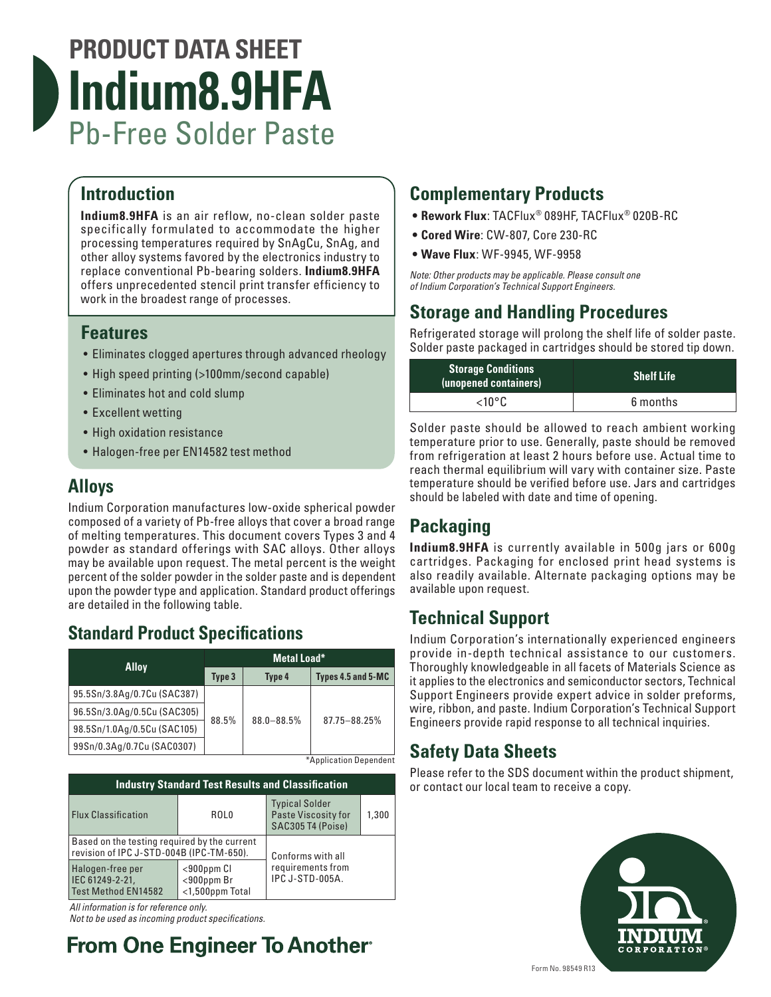# **PRODUCT DATA SHEET Indium8.9HFA** Pb-Free Solder Paste

#### **Introduction**

**Indium8.9HFA** is an air reflow, no-clean solder paste specifically formulated to accommodate the higher processing temperatures required by SnAgCu, SnAg, and other alloy systems favored by the electronics industry to replace conventional Pb-bearing solders. **Indium8.9HFA** offers unprecedented stencil print transfer efficiency to work in the broadest range of processes.

#### **Features**

- Eliminates clogged apertures through advanced rheology
- High speed printing (>100mm/second capable)
- Eliminates hot and cold slump
- Excellent wetting
- High oxidation resistance
- Halogen-free per EN14582 test method

#### **Alloys**

Indium Corporation manufactures low-oxide spherical powder composed of a variety of Pb-free alloys that cover a broad range of melting temperatures. This document covers Types 3 and 4 powder as standard offerings with SAC alloys. Other alloys may be available upon request. The metal percent is the weight percent of the solder powder in the solder paste and is dependent upon the powder type and application. Standard product offerings are detailed in the following table.

#### **Standard Product Specifications**

| <b>Alloy</b>                | Metal Load* |                |                    |  |
|-----------------------------|-------------|----------------|--------------------|--|
|                             | Type 3      | Type 4         | Types 4.5 and 5-MC |  |
| 95.5Sn/3.8Ag/0.7Cu (SAC387) |             | $88.0 - 88.5%$ | 87.75-88.25%       |  |
| 96.5Sn/3.0Ag/0.5Cu (SAC305) | 88.5%       |                |                    |  |
| 98.5Sn/1.0Ag/0.5Cu (SAC105) |             |                |                    |  |
| 99Sn/0.3Ag/0.7Cu (SAC0307)  |             |                |                    |  |

\*Application Dependent

| <b>Industry Standard Test Results and Classification</b>                                 |                                                        |                                                                   |       |  |  |
|------------------------------------------------------------------------------------------|--------------------------------------------------------|-------------------------------------------------------------------|-------|--|--|
| Flux Classification                                                                      | ROL0                                                   | <b>Typical Solder</b><br>Paste Viscosity for<br>SAC305 T4 (Poise) | 1.300 |  |  |
| Based on the testing required by the current<br>revision of IPC J-STD-004B (IPC-TM-650). |                                                        | Conforms with all                                                 |       |  |  |
| Halogen-free per<br>IEC 61249-2-21,<br>Test Method EN14582                               | $<$ 900ppm $Cl$<br>$<$ 900ppm Br<br>$<$ 1,500ppm Total | requirements from<br>IPC J-STD-005A.                              |       |  |  |

*All information is for reference only.* 

*Not to be used as incoming product specifications.*

## **From One Engineer To Another**

### **Complementary Products**

- **• Rework Flux**: TACFlux® 089HF, TACFlux® 020B-RC
- **• Cored Wire**: CW-807, Core 230-RC
- **• Wave Flux**: WF-9945, WF-9958

*Note: Other products may be applicable. Please consult one of Indium Corporation's Technical Support Engineers.*

#### **Storage and Handling Procedures**

Refrigerated storage will prolong the shelf life of solder paste. Solder paste packaged in cartridges should be stored tip down.

| <b>Storage Conditions</b><br>(unopened containers) | <b>Shelf Life</b> |
|----------------------------------------------------|-------------------|
| $<$ 10°C.                                          | 6 months          |

Solder paste should be allowed to reach ambient working temperature prior to use. Generally, paste should be removed from refrigeration at least 2 hours before use. Actual time to reach thermal equilibrium will vary with container size. Paste temperature should be verified before use. Jars and cartridges should be labeled with date and time of opening.

## **Packaging**

**Indium8.9HFA** is currently available in 500g jars or 600g cartridges. Packaging for enclosed print head systems is also readily available. Alternate packaging options may be available upon request.

### **Technical Support**

Indium Corporation's internationally experienced engineers provide in-depth technical assistance to our customers. Thoroughly knowledgeable in all facets of Materials Science as it applies to the electronics and semiconductor sectors, Technical Support Engineers provide expert advice in solder preforms, wire, ribbon, and paste. Indium Corporation's Technical Support Engineers provide rapid response to all technical inquiries.

#### **Safety Data Sheets**

Please refer to the SDS document within the product shipment, or contact our local team to receive a copy.